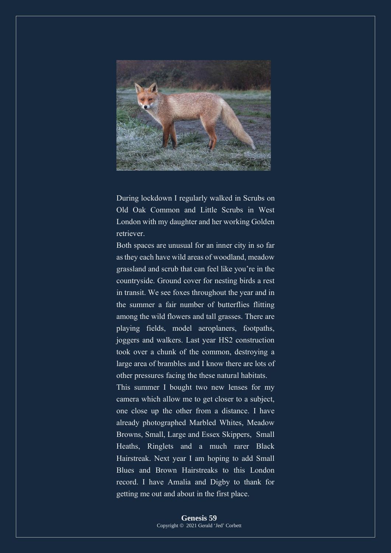

During lockdown I regularly walked in Scrubs on Old Oak Common and Little Scrubs in West London with my daughter and her working Golden retriever.

Both spaces are unusual for an inner city in so far as they each have wild areas of woodland, meadow grassland and scrub that can feel like you're in the countryside. Ground cover for nesting birds a rest in transit. We see foxes throughout the year and in the summer a fair number of butterflies flitting among the wild flowers and tall grasses. There are playing fields, model aeroplaners, footpaths, joggers and walkers. Last year HS2 construction took over a chunk of the common, destroying a large area of brambles and I know there are lots of other pressures facing the these natural habitats.

This summer I bought two new lenses for my camera which allow me to get closer to a subject, one close up the other from a distance. I have already photographed Marbled Whites, Meadow Browns, Small, Large and Essex Skippers, Small Heaths, Ringlets and a much rarer Black Hairstreak. Next year I am hoping to add Small Blues and Brown Hairstreaks to this London record. I have Amalia and Digby to thank for getting me out and about in the first place.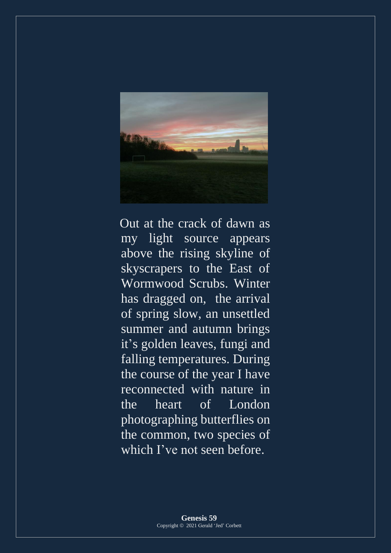

Out at the crack of dawn as my light source appears above the rising skyline of skyscrapers to the East of Wormwood Scrubs. Winter has dragged on, the arrival of spring slow, an unsettled summer and autumn brings it's golden leaves, fungi and falling temperatures. During the course of the year I have reconnected with nature in the heart of London photographing butterflies on the common, two species of which I've not seen before.